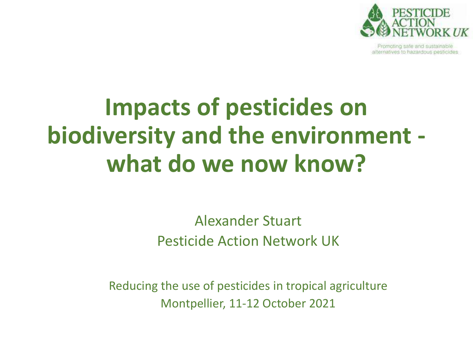

fromoting safe and sustainable alternatives to hazardous pesticides

#### **Impacts of pesticides on biodiversity and the environment what do we now know?**

Alexander Stuart Pesticide Action Network UK

Reducing the use of pesticides in tropical agriculture Montpellier, 11-12 October 2021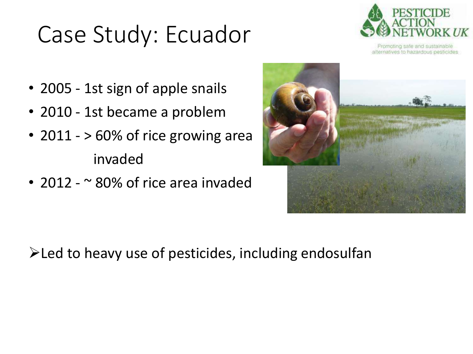#### Case Study: Ecuador



Fromoting safe and sustainable alternatives to hazardous pesticides

- 2005 1st sign of apple snails
- 2010 1st became a problem
- 2011 > 60% of rice growing area invaded
- 2012  $\sim$  80% of rice area invaded



 $\blacktriangleright$  Led to heavy use of pesticides, including endosulfan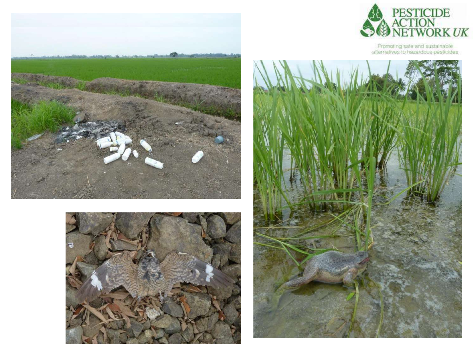





Promoting safe and sustainable<br>alternatives to hazardous pesticides

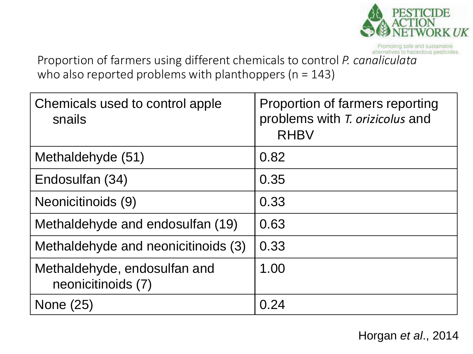

Promoting safe and sustainable

Proportion of farmers using different chemicals to control *P. canaliculata* who also reported problems with planthoppers ( $n = 143$ )

| Chemicals used to control apple<br>snails          | Proportion of farmers reporting<br>problems with T. orizicolus and<br><b>RHBV</b> |
|----------------------------------------------------|-----------------------------------------------------------------------------------|
| Methaldehyde (51)                                  | 0.82                                                                              |
| Endosulfan (34)                                    | 0.35                                                                              |
| Neonicitinoids (9)                                 | 0.33                                                                              |
| Methaldehyde and endosulfan (19)                   | 0.63                                                                              |
| Methaldehyde and neonicitinoids (3)                | 0.33                                                                              |
| Methaldehyde, endosulfan and<br>neonicitinoids (7) | 1.00                                                                              |
| None (25)                                          | 0.24                                                                              |

Horgan *et al*., 2014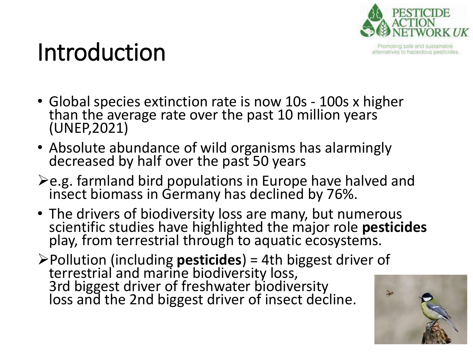

fromoting safe and sustainable alternatives to hazardous pesticides

#### Introduction

- Global species extinction rate is now 10s 100s x higher than the average rate over the past 10 million years (UNEP,2021)
- Absolute abundance of wild organisms has alarmingly decreased by half over the past 50 years
- $\geq$ e.g. farmland bird populations in Europe have halved and insect biomass in Germany has declined by 76%.
- The drivers of biodiversity loss are many, but numerous scientific studies have highlighted the major role **pesticides** play, from terrestrial through to aquatic ecosystems.
- Pollution (including **pesticides**) = 4th biggest driver of terrestrial and marine biodiversity loss, 3rd biggest driver of freshwater biodiversity loss and the 2nd biggest driver of insect decline.

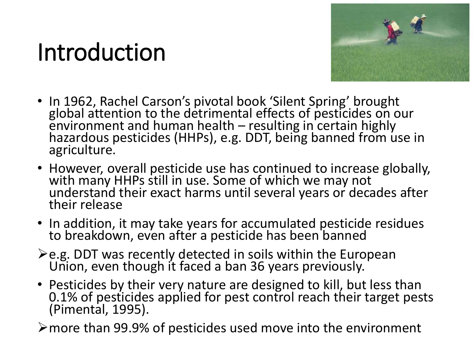#### Introduction



- In 1962, Rachel Carson's pivotal book 'Silent Spring' brought global attention to the detrimental effects of pesticides on our environment and human health – resulting in certain highly hazardous pesticides (HHPs), e.g. DDT, being banned from use in agriculture.
- However, overall pesticide use has continued to increase globally, with many HHPs still in use. Some of which we may not understand their exact harms until several years or decades after their release
- In addition, it may take years for accumulated pesticide residues to breakdown, even after a pesticide has been banned
- ≻e.g. DDT was recently detected in soils within the European Union, even though it faced a ban 36 years previously.
- Pesticides by their very nature are designed to kill, but less than 0.1% of pesticides applied for pest control reach their target pests (Pimental, 1995).

more than 99.9% of pesticides used move into the environment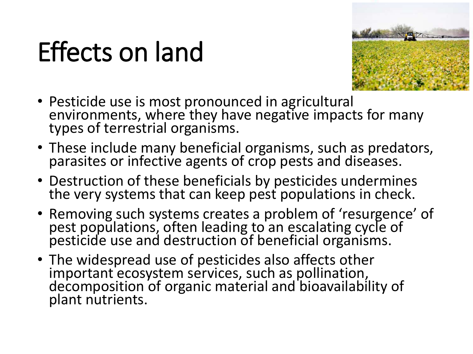### Effects on land



- Pesticide use is most pronounced in agricultural environments, where they have negative impacts for many types of terrestrial organisms.
- These include many beneficial organisms, such as predators, parasites or infective agents of crop pests and diseases.
- Destruction of these beneficials by pesticides undermines the very systems that can keep pest populations in check.
- Removing such systems creates a problem of 'resurgence' of pest populations, often leading to an escalating cycle of pesticide use and destruction of beneficial organisms.
- The widespread use of pesticides also affects other important ecosystem services, such as pollination, decomposition of organic material and bioavailability of plant nutrients.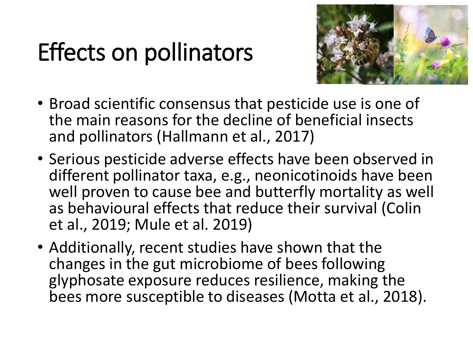#### Effects on pollinators



- Broad scientific consensus that pesticide use is one of the main reasons for the decline of beneficial insects and pollinators (Hallmann et al., 2017)
- Serious pesticide adverse effects have been observed in different pollinator taxa, e.g., neonicotinoids have been well proven to cause bee and butterfly mortality as well as behavioural effects that reduce their survival (Colin et al., 2019; Mule et al. 2019)
- Additionally, recent studies have shown that the changes in the gut microbiome of bees following glyphosate exposure reduces resilience, making the bees more susceptible to diseases (Motta et al., 2018).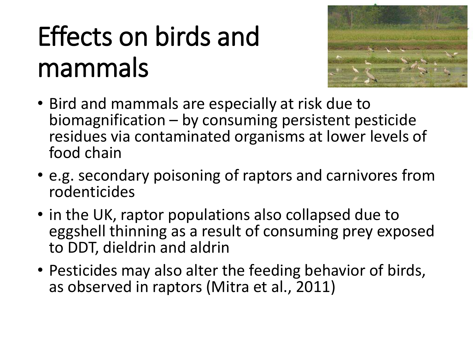# Effects on birds and mammals



- Bird and mammals are especially at risk due to biomagnification – by consuming persistent pesticide residues via contaminated organisms at lower levels of food chain
- e.g. secondary poisoning of raptors and carnivores from rodenticides
- in the UK, raptor populations also collapsed due to eggshell thinning as a result of consuming prey exposed to DDT, dieldrin and aldrin
- Pesticides may also alter the feeding behavior of birds, as observed in raptors (Mitra et al., 2011)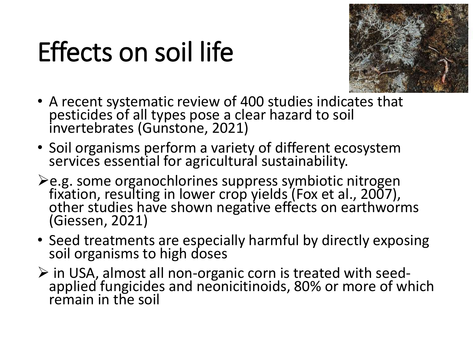## Effects on soil life



- A recent systematic review of 400 studies indicates that pesticides of all types pose a clear hazard to soil invertebrates (Gunstone, 2021)
- Soil organisms perform a variety of different ecosystem services essential for agricultural sustainability.
- ≻e.g. some organochlorines suppress symbiotic nitrogen fixation, resulting in lower crop yields (Fox et al., 2007), other studies have shown negative effects on earthworms (Giessen, 2021)
- Seed treatments are especially harmful by directly exposing soil organisms to high doses
- $\triangleright$  in USA, almost all non-organic corn is treated with seedapplied fungicides and neonicitinoids, 80% or more of which remain in the soil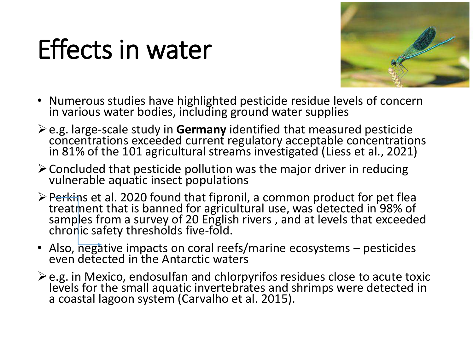### Effects in water



- Numerous studies have highlighted pesticide residue levels of concern in various water bodies, including ground water supplies
- e.g. large-scale study in **Germany** identified that measured pesticide concentrations exceeded current regulatory acceptable concentrations in 81% of the 101 agricultural streams investigated (Liess et al., 2021)
- $\geq$  Concluded that pesticide pollution was the major driver in reducing vulnerable aquatic insect populations
- $\triangleright$  Perkins et al. 2020 found that fipronil, a common product for pet flea treatment that is banned for agricultural use, was detected in 98% of samples from a survey of 20 English rivers , and at levels that exceeded chronic safety thresholds five-fold.
- Also, negative impacts on coral reefs/marine ecosystems pesticides even detected in the Antarctic waters
- $\geq$  e.g. in Mexico, endosulfan and chlorpyrifos residues close to acute toxic levels for the small aquatic invertebrates and shrimps were detected in a coastal lagoon system (Carvalho et al. 2015).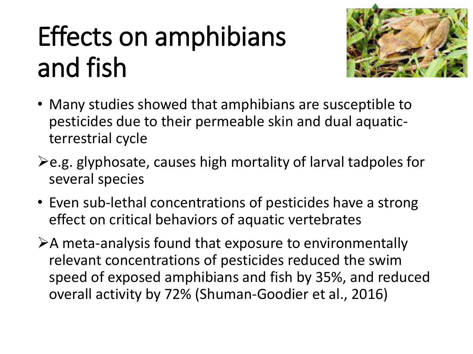# Effects on amphibians and fish



- Many studies showed that amphibians are susceptible to pesticides due to their permeable skin and dual aquaticterrestrial cycle
- $\geq$ e.g. glyphosate, causes high mortality of larval tadpoles for several species
- Even sub-lethal concentrations of pesticides have a strong effect on critical behaviors of aquatic vertebrates

 $\triangleright$  A meta-analysis found that exposure to environmentally relevant concentrations of pesticides reduced the swim speed of exposed amphibians and fish by 35%, and reduced overall activity by 72% (Shuman-Goodier et al., 2016)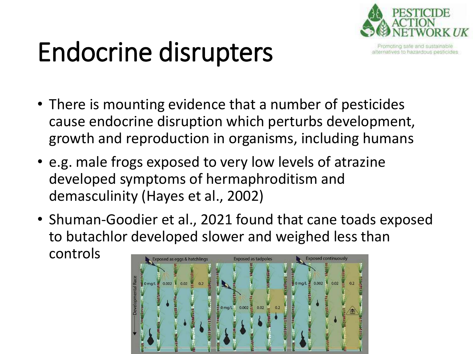

alternatives to hazardous pesticides

# Endocrine disrupters

- There is mounting evidence that a number of pesticides cause endocrine disruption which perturbs development, growth and reproduction in organisms, including humans
- e.g. male frogs exposed to very low levels of atrazine developed symptoms of hermaphroditism and demasculinity (Hayes et al., 2002)
- Shuman-Goodier et al., 2021 found that cane toads exposed to butachlor developed slower and weighed less than controls

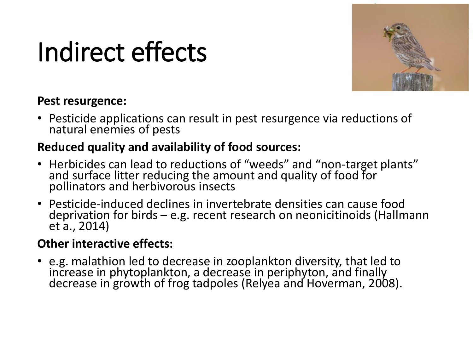## Indirect effects



#### **Pest resurgence:**

• Pesticide applications can result in pest resurgence via reductions of natural enemies of pests

#### **Reduced quality and availability of food sources:**

- Herbicides can lead to reductions of "weeds" and "non-target plants" and surface litter reducing the amount and quality of food for pollinators and herbivorous insects
- Pesticide-induced declines in invertebrate densities can cause food deprivation for birds – e.g. recent research on neonicitinoids (Hallmann et a., 2014)

#### **Other interactive effects:**

• e.g. malathion led to decrease in zooplankton diversity, that led to increase in phytoplankton, a decrease in periphyton, and finally decrease in growth of frog tadpoles (Relyea and Hoverman, 2008).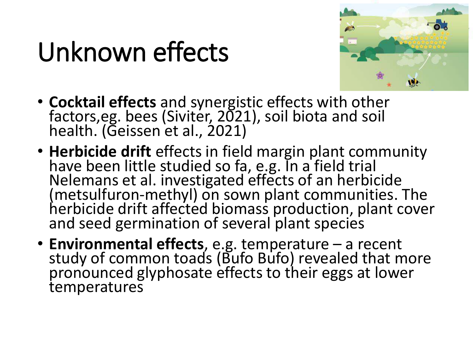### Unknown effects



- **Cocktail effects** and synergistic effects with other factors, eg. bees (Siviter, 2021), soil biota and soil health. (Geissen et al., 2021)
- **Herbicide drift** effects in field margin plant community have been little studied so fa, e.g. In a field trial Nelemans et al. investigated effects of an herbicide (metsulfuron-methyl) on sown plant communities. The herbicide drift affected biomass production, plant cover and seed germination of several plant species
- **Environmental effects**, e.g. temperature a recent study of common toads (Bufo Bufo) revealed that more pronounced glyphosate effects to their eggs at lower temperatures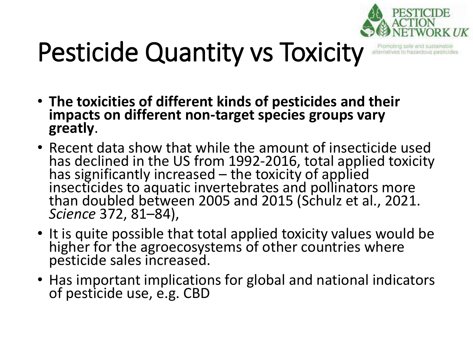

## Pesticide Quantity vs Toxicity

- **The toxicities of different kinds of pesticides and their impacts on different non-target species groups vary greatly**.
- Recent data show that while the amount of insecticide used has declined in the US from 1992-2016, total applied toxicity has significantly increased  $-$  the toxicity of applied insecticides to aquatic invertebrates and pollinators more than doubled between 2005 and 2015 (Schulz et al., 2021. *Science* 372, 81–84),
- It is quite possible that total applied toxicity values would be higher for the agroecosystems of other countries where pesticide sales increased.
- Has important implications for global and national indicators of pesticide use, e.g. CBD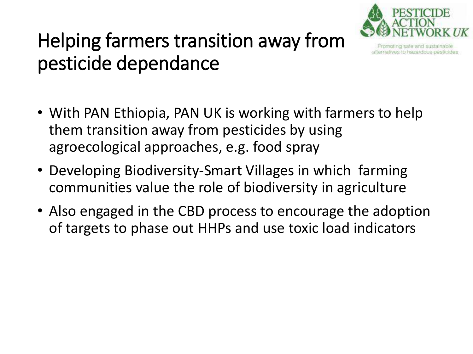

alternatives to hazardous pesticides

#### Helping farmers transition away from pesticide dependance

- With PAN Ethiopia, PAN UK is working with farmers to help them transition away from pesticides by using agroecological approaches, e.g. food spray
- Developing Biodiversity-Smart Villages in which farming communities value the role of biodiversity in agriculture
- Also engaged in the CBD process to encourage the adoption of targets to phase out HHPs and use toxic load indicators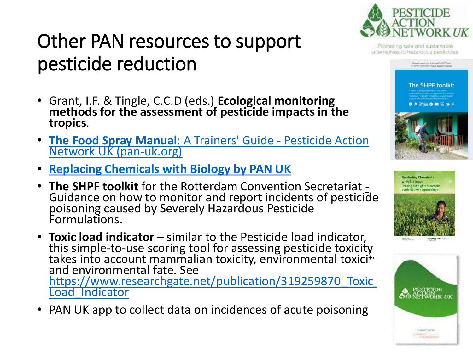#### Other PAN resources to support pesticide reduction

- Grant, I.F. & Tingle, C.C.D (eds.) **Ecological monitoring methods for the assessment of pesticide impacts in the tropics**.
- **[The Food Spray Manual](https://www.pan-uk.org/the-food-spray-manual-a-trainers-guide/)**: A Trainers' Guide Pesticide Action [Network UK \(pan-uk.org\)](https://www.pan-uk.org/the-food-spray-manual-a-trainers-guide/)
- **[Replacing Chemicals with Biology by PAN UK](https://issuu.com/pan-uk/docs/replacing_chemicals_with_biology_-_?fr=sOWQxMTExOTMxNQ)**
- **The SHPF toolkit** for the Rotterdam Convention Secretariat Guidance on how to monitor and report incidents of pesticide poisoning caused by Severely Hazardous Pesticide Formulations.
- **Toxic load indicator**  similar to the Pesticide load indicator, this simple-to-use scoring tool for assessing pesticide toxicity takes into account mammalian toxicity, environmental toxici $\ddot{\ddot{\ }}$ and environmental fate. See https://www.researchgate.net/publication/319259870 Toxic Load\_Indicator
- PAN UK app to collect data on incidences of acute poisoning



Promoting safe and sustainable alternatives to hazardous pesticides

**The SHPF toolkit** ● 冬間前● 第四当9